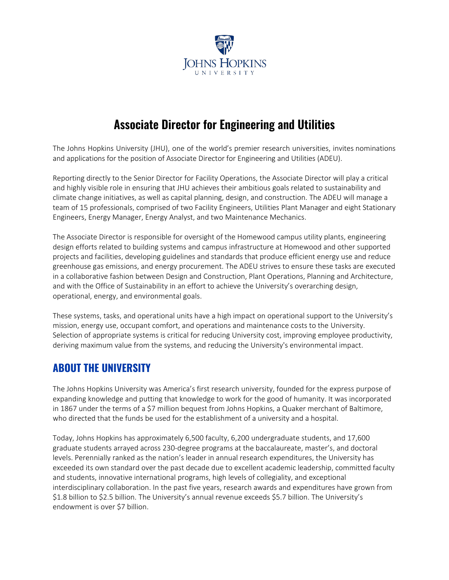

# **Associate Director for Engineering and Utilities**

The Johns Hopkins University (JHU), one of the world's premier research universities, invites nominations and applications for the position of Associate Director for Engineering and Utilities (ADEU).

Reporting directly to the Senior Director for Facility Operations, the Associate Director will play a critical and highly visible role in ensuring that JHU achieves their ambitious goals related to sustainability and climate change initiatives, as well as capital planning, design, and construction. The ADEU will manage a team of 15 professionals, comprised of two Facility Engineers, Utilities Plant Manager and eight Stationary Engineers, Energy Manager, Energy Analyst, and two Maintenance Mechanics.

The Associate Director is responsible for oversight of the Homewood campus utility plants, engineering design efforts related to building systems and campus infrastructure at Homewood and other supported projects and facilities, developing guidelines and standards that produce efficient energy use and reduce greenhouse gas emissions, and energy procurement. The ADEU strives to ensure these tasks are executed in a collaborative fashion between Design and Construction, Plant Operations, Planning and Architecture, and with the Office of Sustainability in an effort to achieve the University's overarching design, operational, energy, and environmental goals.

These systems, tasks, and operational units have a high impact on operational support to the University's mission, energy use, occupant comfort, and operations and maintenance costs to the University. Selection of appropriate systems is critical for reducing University cost, improving employee productivity, deriving maximum value from the systems, and reducing the University's environmental impact.

### **ABOUT THE UNIVERSITY**

The Johns Hopkins University was America's first research university, founded for the express purpose of expanding knowledge and putting that knowledge to work for the good of humanity. It was incorporated in 1867 under the terms of a \$7 million bequest from Johns Hopkins, a Quaker merchant of Baltimore, who directed that the funds be used for the establishment of a university and a hospital.

Today, Johns Hopkins has approximately 6,500 faculty, 6,200 undergraduate students, and 17,600 graduate students arrayed across 230-degree programs at the baccalaureate, master's, and doctoral levels. Perennially ranked as the nation's leader in annual research expenditures, the University has exceeded its own standard over the past decade due to excellent academic leadership, committed faculty and students, innovative international programs, high levels of collegiality, and exceptional interdisciplinary collaboration. In the past five years, research awards and expenditures have grown from \$1.8 billion to \$2.5 billion. The University's annual revenue exceeds \$5.7 billion. The University's endowment is over \$7 billion.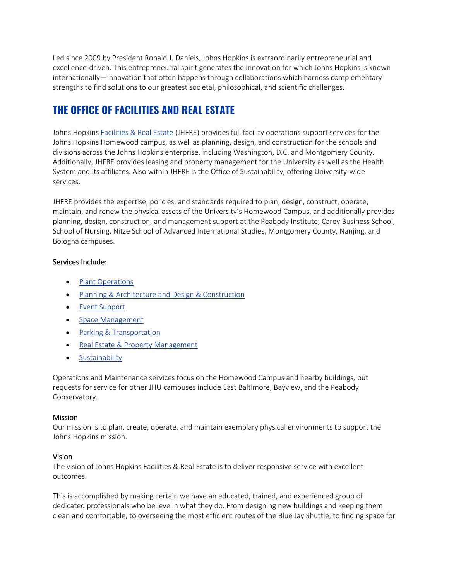Led since 2009 by President Ronald J. Daniels, Johns Hopkins is extraordinarily entrepreneurial and excellence-driven. This entrepreneurial spirit generates the innovation for which Johns Hopkins is known internationally—innovation that often happens through collaborations which harness complementary strengths to find solutions to our greatest societal, philosophical, and scientific challenges.

## **THE OFFICE OF FACILITIES AND REAL ESTATE**

Johns Hopkins [Facilities & Real Estate](https://www.jhfre.jhu.edu/index.html) (JHFRE) provides full facility operations support services for the Johns Hopkins Homewood campus, as well as planning, design, and construction for the schools and divisions across the Johns Hopkins enterprise, including Washington, D.C. and Montgomery County. Additionally, JHFRE provides leasing and property management for the University as well as the Health System and its affiliates. Also within JHFRE is the Office of Sustainability, offering University-wide services.

JHFRE provides the expertise, policies, and standards required to plan, design, construct, operate, maintain, and renew the physical assets of the University's Homewood Campus, and additionally provides planning, design, construction, and management support at the Peabody Institute, Carey Business School, School of Nursing, Nitze School of Advanced International Studies, Montgomery County, Nanjing, and Bologna campuses.

### Services Include:

- [Plant Operations](https://www.jhfre.jhu.edu/services/plant_operations/index.html)
- [Planning & Architecture and Design & Construction](https://www.jhfre.jhu.edu/services/Planning_and_Architecture/index.html)
- [Event Support](https://www.jhfre.jhu.edu/services/event_support/index.html)
- [Space Management](https://www.jhfre.jhu.edu/services/space_management/index.html)
- [Parking & Transportation](http://www.ts.jhu.edu/)
- Real Estate [& Property Management](https://www.jhfre.jhu.edu/services/real_estate/)
- [Sustainability](https://sustainability.jhu.edu/)

Operations and Maintenance services focus on the Homewood Campus and nearby buildings, but requests for service for other JHU campuses include East Baltimore, Bayview, and the Peabody Conservatory.

#### **Mission**

Our mission is to plan, create, operate, and maintain exemplary physical environments to support the Johns Hopkins mission.

### Vision

The vision of Johns Hopkins Facilities & Real Estate is to deliver responsive service with excellent outcomes.

This is accomplished by making certain we have an educated, trained, and experienced group of dedicated professionals who believe in what they do. From designing new buildings and keeping them clean and comfortable, to overseeing the most efficient routes of the Blue Jay Shuttle, to finding space for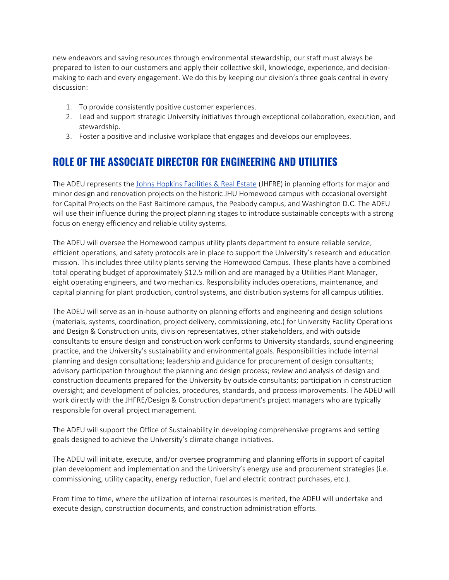new endeavors and saving resources through environmental stewardship, our staff must always be prepared to listen to our customers and apply their collective skill, knowledge, experience, and decisionmaking to each and every engagement. We do this by keeping our division's three goals central in every discussion:

- 1. To provide consistently positive customer experiences.
- 2. Lead and support strategic University initiatives through exceptional collaboration, execution, and stewardship.
- 3. Foster a positive and inclusive workplace that engages and develops our employees.

### **ROLE OF THE ASSOCIATE DIRECTOR FOR ENGINEERING AND UTILITIES**

The ADEU represents the [Johns Hopkins Facilities & Real Estate](https://www.jhfre.jhu.edu/index.html) (JHFRE) in planning efforts for major and minor design and renovation projects on the historic JHU Homewood campus with occasional oversight for Capital Projects on the East Baltimore campus, the Peabody campus, and Washington D.C. The ADEU will use their influence during the project planning stages to introduce sustainable concepts with a strong focus on energy efficiency and reliable utility systems.

The ADEU will oversee the Homewood campus utility plants department to ensure reliable service, efficient operations, and safety protocols are in place to support the University's research and education mission. This includes three utility plants serving the Homewood Campus. These plants have a combined total operating budget of approximately \$12.5 million and are managed by a Utilities Plant Manager, eight operating engineers, and two mechanics. Responsibility includes operations, maintenance, and capital planning for plant production, control systems, and distribution systems for all campus utilities.

The ADEU will serve as an in-house authority on planning efforts and engineering and design solutions (materials, systems, coordination, project delivery, commissioning, etc.) for University Facility Operations and Design & Construction units, division representatives, other stakeholders, and with outside consultants to ensure design and construction work conforms to University standards, sound engineering practice, and the University's sustainability and environmental goals. Responsibilities include internal planning and design consultations; leadership and guidance for procurement of design consultants; advisory participation throughout the planning and design process; review and analysis of design and construction documents prepared for the University by outside consultants; participation in construction oversight; and development of policies, procedures, standards, and process improvements. The ADEU will work directly with the JHFRE/Design & Construction department's project managers who are typically responsible for overall project management.

The ADEU will support the Office of Sustainability in developing comprehensive programs and setting goals designed to achieve the University's climate change initiatives.

The ADEU will initiate, execute, and/or oversee programming and planning efforts in support of capital plan development and implementation and the University's energy use and procurement strategies (i.e. commissioning, utility capacity, energy reduction, fuel and electric contract purchases, etc.).

From time to time, where the utilization of internal resources is merited, the ADEU will undertake and execute design, construction documents, and construction administration efforts.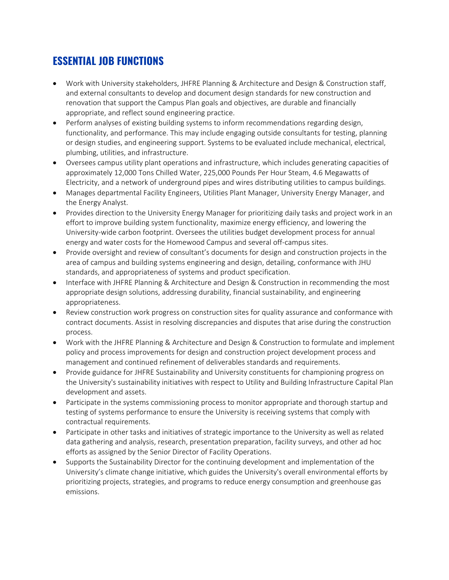# **ESSENTIAL JOB FUNCTIONS**

- Work with University stakeholders, JHFRE Planning & Architecture and Design & Construction staff, and external consultants to develop and document design standards for new construction and renovation that support the Campus Plan goals and objectives, are durable and financially appropriate, and reflect sound engineering practice.
- Perform analyses of existing building systems to inform recommendations regarding design, functionality, and performance. This may include engaging outside consultants for testing, planning or design studies, and engineering support. Systems to be evaluated include mechanical, electrical, plumbing, utilities, and infrastructure.
- Oversees campus utility plant operations and infrastructure, which includes generating capacities of approximately 12,000 Tons Chilled Water, 225,000 Pounds Per Hour Steam, 4.6 Megawatts of Electricity, and a network of underground pipes and wires distributing utilities to campus buildings.
- Manages departmental Facility Engineers, Utilities Plant Manager, University Energy Manager, and the Energy Analyst.
- Provides direction to the University Energy Manager for prioritizing daily tasks and project work in an effort to improve building system functionality, maximize energy efficiency, and lowering the University-wide carbon footprint. Oversees the utilities budget development process for annual energy and water costs for the Homewood Campus and several off-campus sites.
- Provide oversight and review of consultant's documents for design and construction projects in the area of campus and building systems engineering and design, detailing, conformance with JHU standards, and appropriateness of systems and product specification.
- Interface with JHFRE Planning & Architecture and Design & Construction in recommending the most appropriate design solutions, addressing durability, financial sustainability, and engineering appropriateness.
- Review construction work progress on construction sites for quality assurance and conformance with contract documents. Assist in resolving discrepancies and disputes that arise during the construction process.
- Work with the JHFRE Planning & Architecture and Design & Construction to formulate and implement policy and process improvements for design and construction project development process and management and continued refinement of deliverables standards and requirements.
- Provide guidance for JHFRE Sustainability and University constituents for championing progress on the University's sustainability initiatives with respect to Utility and Building Infrastructure Capital Plan development and assets.
- Participate in the systems commissioning process to monitor appropriate and thorough startup and testing of systems performance to ensure the University is receiving systems that comply with contractual requirements.
- Participate in other tasks and initiatives of strategic importance to the University as well as related data gathering and analysis, research, presentation preparation, facility surveys, and other ad hoc efforts as assigned by the Senior Director of Facility Operations.
- Supports the Sustainability Director for the continuing development and implementation of the University's climate change initiative, which guides the University's overall environmental efforts by prioritizing projects, strategies, and programs to reduce energy consumption and greenhouse gas emissions.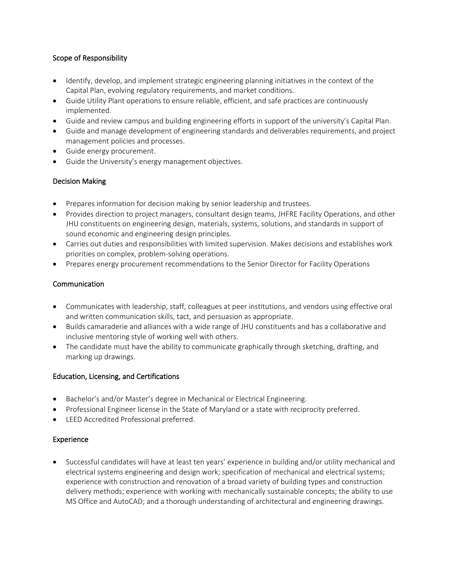### Scope of Responsibility

- Identify, develop, and implement strategic engineering planning initiatives in the context of the Capital Plan, evolving regulatory requirements, and market conditions.
- Guide Utility Plant operations to ensure reliable, efficient, and safe practices are continuously implemented.
- Guide and review campus and building engineering efforts in support of the university's Capital Plan.
- Guide and manage development of engineering standards and deliverables requirements, and project management policies and processes.
- Guide energy procurement.
- Guide the University's energy management objectives.

#### Decision Making

- Prepares information for decision making by senior leadership and trustees.
- Provides direction to project managers, consultant design teams, JHFRE Facility Operations, and other JHU constituents on engineering design, materials, systems, solutions, and standards in support of sound economic and engineering design principles.
- Carries out duties and responsibilities with limited supervision. Makes decisions and establishes work priorities on complex, problem-solving operations.
- Prepares energy procurement recommendations to the Senior Director for Facility Operations

#### Communication

- Communicates with leadership, staff, colleagues at peer institutions, and vendors using effective oral and written communication skills, tact, and persuasion as appropriate.
- Builds camaraderie and alliances with a wide range of JHU constituents and has a collaborative and inclusive mentoring style of working well with others.
- The candidate must have the ability to communicate graphically through sketching, drafting, and marking up drawings.

#### Education, Licensing, and Certifications

- Bachelor's and/or Master's degree in Mechanical or Electrical Engineering.
- Professional Engineer license in the State of Maryland or a state with reciprocity preferred.
- LEED Accredited Professional preferred.

#### Experience

• Successful candidates will have at least ten years' experience in building and/or utility mechanical and electrical systems engineering and design work; specification of mechanical and electrical systems; experience with construction and renovation of a broad variety of building types and construction delivery methods; experience with working with mechanically sustainable concepts; the ability to use MS Office and AutoCAD; and a thorough understanding of architectural and engineering drawings.